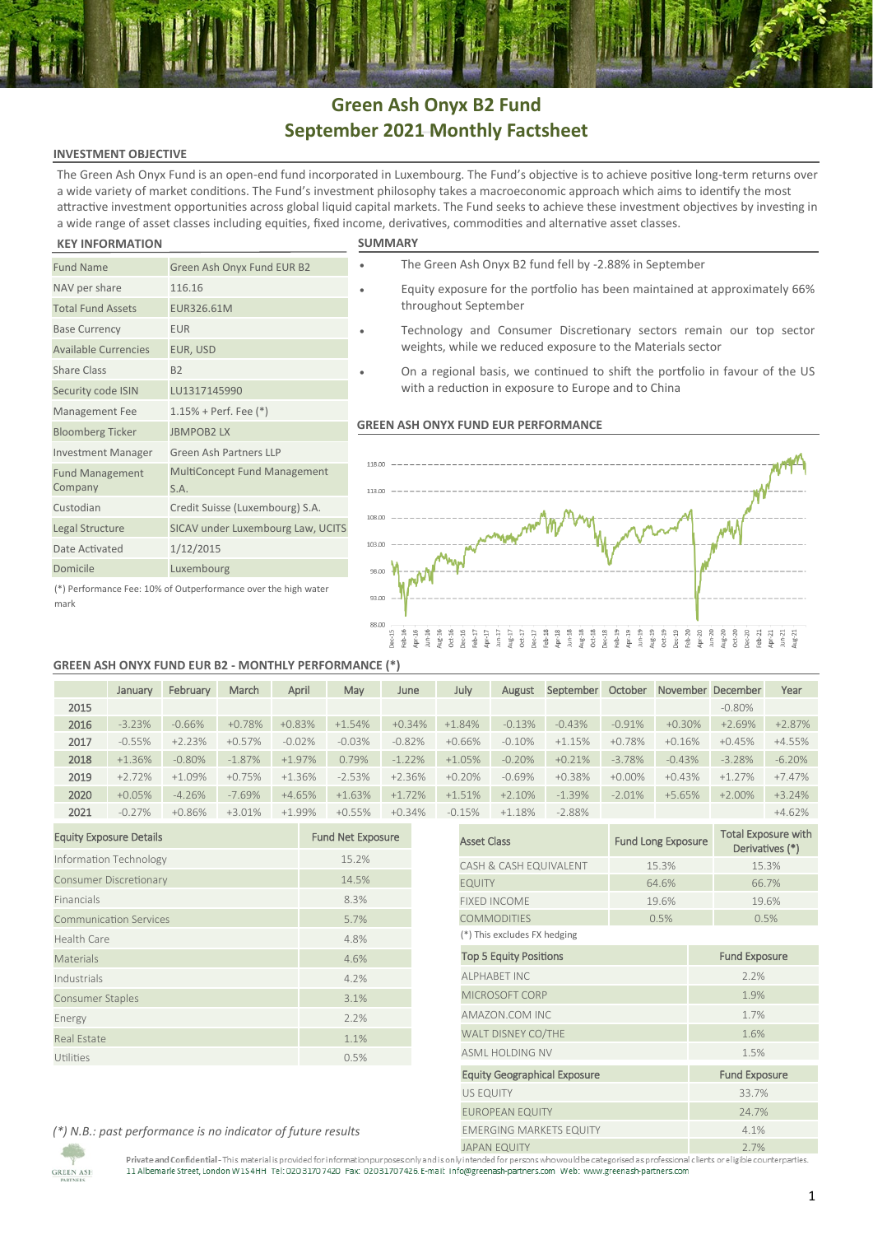# **Green Ash Onyx B2 Fund September 2021 Monthly Factsheet**

## **INVESTMENT OBJECTIVE**

The Green Ash Onyx Fund is an open-end fund incorporated in Luxembourg. The Fund's objective is to achieve positive long-term returns over a wide variety of market conditions. The Fund's investment philosophy takes a macroeconomic approach which aims to identify the most attractive investment opportunities across global liquid capital markets. The Fund seeks to achieve these investment objectives by investing in a wide range of asset classes including equities, fixed income, derivatives, commodities and alternative asset classes.

### **KEY INFORMATION SUMMARY**

mark

| <b>SUMMAR</b> |  |  |  |
|---------------|--|--|--|
|               |  |  |  |

| <b>Fund Name</b>                  | Green Ash Onyx Fund EUR B2                                     |
|-----------------------------------|----------------------------------------------------------------|
| NAV per share                     | 116.16                                                         |
| <b>Total Fund Assets</b>          | EUR326.61M                                                     |
| <b>Base Currency</b>              | <b>EUR</b>                                                     |
| <b>Available Currencies</b>       | EUR, USD                                                       |
| <b>Share Class</b>                | <b>B2</b>                                                      |
| Security code ISIN                | LU1317145990                                                   |
| Management Fee                    | $1.15%$ + Perf. Fee $(*)$                                      |
| <b>Bloomberg Ticker</b>           | <b>JBMPOB2LX</b>                                               |
| <b>Investment Manager</b>         | Green Ash Partners LLP                                         |
| <b>Fund Management</b><br>Company | <b>MultiConcept Fund Management</b><br>S.A.                    |
| Custodian                         | Credit Suisse (Luxembourg) S.A.                                |
| Legal Structure                   | SICAV under Luxembourg Law, UCITS                              |
| Date Activated                    | 1/12/2015                                                      |
| Domicile                          | Luxembourg                                                     |
|                                   | (*) Performance Fee: 10% of Outperformance over the high water |

- The Green Ash Onyx B2 fund fell by -2.88% in September
- Equity exposure for the portfolio has been maintained at approximately 66% throughout September
- Technology and Consumer Discretionary sectors remain our top sector weights, while we reduced exposure to the Materials sector
- On a regional basis, we continued to shift the portfolio in favour of the US with a reduction in exposure to Europe and to China

### **GREEN ASH ONYX FUND EUR PERFORMANCE**



### **GREEN ASH ONYX FUND EUR B2 - MONTHLY PERFORMANCE (\*)**

|      | January  | February | March     | April     | May      | June     | July     | August   | September | October   |          | November December | Year     |
|------|----------|----------|-----------|-----------|----------|----------|----------|----------|-----------|-----------|----------|-------------------|----------|
| 2015 |          |          |           |           |          |          |          |          |           |           |          | $-0.80\%$         |          |
| 2016 | $-3.23%$ | $-0.66%$ | $+0.78%$  | $+0.83%$  | $+1.54%$ | $+0.34%$ | $+1.84%$ | $-0.13%$ | $-0.43%$  | $-0.91%$  | $+0.30%$ | $+2.69%$          | $+2.87%$ |
| 2017 | $-0.55%$ | $+2.23%$ | $+0.57%$  | $-0.02%$  | $-0.03%$ | $-0.82%$ | $+0.66%$ | $-0.10%$ | $+1.15%$  | $+0.78%$  | $+0.16%$ | $+0.45%$          | $+4.55%$ |
| 2018 | $+1.36%$ | $-0.80%$ | $-1.87\%$ | $+1.97\%$ | 0.79%    | $-1.22%$ | $+1.05%$ | $-0.20%$ | $+0.21%$  | $-3.78%$  | $-0.43%$ | $-3.28%$          | $-6.20%$ |
| 2019 | $+2.72%$ | $+1.09%$ | $+0.75%$  | $+1.36%$  | $-2.53%$ | $+2.36%$ | $+0.20%$ | $-0.69%$ | $+0.38%$  | $+0.00\%$ | $+0.43%$ | $+1.27%$          | $+7.47%$ |
| 2020 | $+0.05%$ | $-4.26%$ | $-7.69%$  | $+4.65%$  | $+1.63%$ | $+1.72%$ | $+1.51%$ | $+2.10%$ | $-1.39%$  | $-2.01%$  | $+5.65%$ | $+2.00%$          | $+3.24%$ |
| 2021 | $-0.27%$ | $+0.86%$ | $+3.01%$  | $+1.99%$  | $+0.55%$ | $+0.34%$ | $-0.15%$ | $+1.18%$ | $-2.88%$  |           |          |                   | $+4.62%$ |

| <b>Equity Exposure Details</b> | <b>Fund Net Exposure</b> |
|--------------------------------|--------------------------|
| Information Technology         | 15.2%                    |
| <b>Consumer Discretionary</b>  | 14.5%                    |
| Financials                     | 8.3%                     |
| <b>Communication Services</b>  | 5.7%                     |
| Health Care                    | 4.8%                     |
| Materials                      | 4.6%                     |
| Industrials                    | 4.2%                     |
| <b>Consumer Staples</b>        | 3.1%                     |
| Energy                         | 2.2%                     |
| <b>Real Estate</b>             | 1.1%                     |
| Utilities                      | 0.5%                     |

| .15%                                | $+1.18%$                       | $-2.88%$ |                           |      |                                               | $+4.62%$ |  |  |
|-------------------------------------|--------------------------------|----------|---------------------------|------|-----------------------------------------------|----------|--|--|
| <b>Asset Class</b>                  |                                |          | <b>Fund Long Exposure</b> |      | <b>Total Exposure with</b><br>Derivatives (*) |          |  |  |
|                                     | CASH & CASH EQUIVALENT         |          | 15.3%                     |      | 15.3%                                         |          |  |  |
| <b>EQUITY</b>                       |                                |          | 64.6%                     |      | 66.7%                                         |          |  |  |
|                                     | <b>FIXED INCOME</b>            |          | 19.6%                     |      | 19.6%                                         |          |  |  |
|                                     | <b>COMMODITIES</b>             |          | 0.5%                      |      |                                               | 0.5%     |  |  |
| (*) This excludes FX hedging        |                                |          |                           |      |                                               |          |  |  |
| <b>Top 5 Equity Positions</b>       |                                |          |                           |      | <b>Fund Exposure</b>                          |          |  |  |
|                                     | <b>ALPHABET INC</b>            |          |                           | 2.2% |                                               |          |  |  |
|                                     | MICROSOFT CORP                 |          |                           | 1.9% |                                               |          |  |  |
|                                     | AMAZON COM INC                 |          |                           | 1.7% |                                               |          |  |  |
|                                     | WALT DISNEY CO/THE             |          |                           | 1.6% |                                               |          |  |  |
|                                     | ASML HOLDING NV                |          |                           | 1.5% |                                               |          |  |  |
| <b>Equity Geographical Exposure</b> |                                |          |                           |      | <b>Fund Exposure</b>                          |          |  |  |
| <b>US EQUITY</b>                    |                                |          |                           |      | 33.7%                                         |          |  |  |
|                                     | <b>EUROPEAN EQUITY</b>         |          |                           |      | 24.7%                                         |          |  |  |
|                                     | <b>EMERGING MARKETS EQUITY</b> |          |                           |      | 4.1%                                          |          |  |  |
|                                     | 110115150111711                |          | $\cap$ $\neg$             |      |                                               |          |  |  |

*(\*) N.B.: past performance is no indicator of future results*

**GREEN ASH** 

JAPAN EQUITY<br>Private and Confidential - This material is provided for information purposes only and is only intended for persons who would be categorised as professional clients ore ligible counterparties. rivate and connuential - mis material is provided for information purposes only and isomy intended for persons who would be categorised as professional 11 Albemarle Street, London W1S4HH Tel: 020 3170 7420 Fax: 0203170 742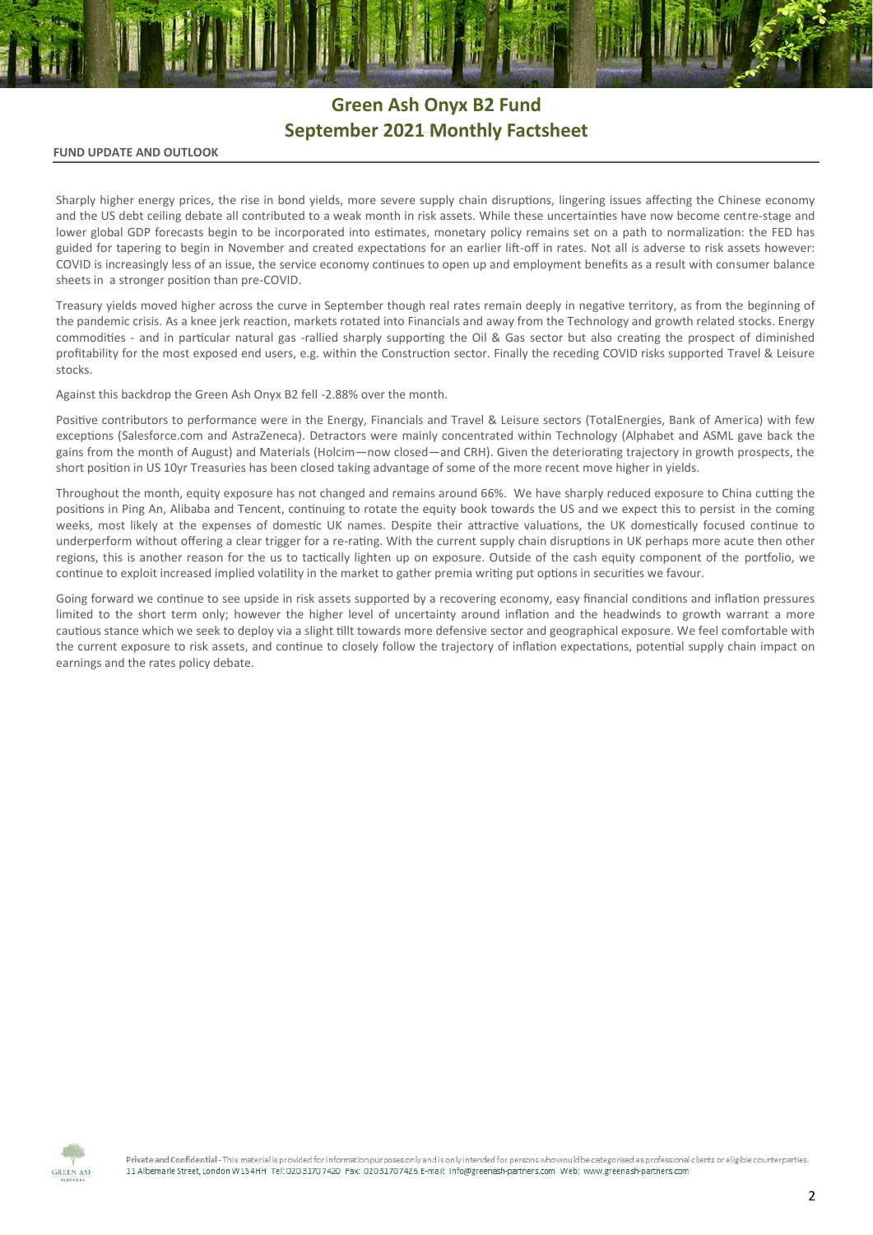# **Green Ash Onyx B2 Fund September 2021 Monthly Factsheet**

### **FUND UPDATE AND OUTLOOK**

Sharply higher energy prices, the rise in bond yields, more severe supply chain disruptions, lingering issues affecting the Chinese economy and the US debt ceiling debate all contributed to a weak month in risk assets. While these uncertainties have now become centre-stage and lower global GDP forecasts begin to be incorporated into estimates, monetary policy remains set on a path to normalization: the FED has guided for tapering to begin in November and created expectations for an earlier lift-off in rates. Not all is adverse to risk assets however: COVID is increasingly less of an issue, the service economy continues to open up and employment benefits as a result with consumer balance sheets in a stronger position than pre-COVID.

Treasury yields moved higher across the curve in September though real rates remain deeply in negative territory, as from the beginning of the pandemic crisis. As a knee jerk reaction, markets rotated into Financials and away from the Technology and growth related stocks. Energy commodities - and in particular natural gas -rallied sharply supporting the Oil & Gas sector but also creating the prospect of diminished profitability for the most exposed end users, e.g. within the Construction sector. Finally the receding COVID risks supported Travel & Leisure stocks.

Against this backdrop the Green Ash Onyx B2 fell -2.88% over the month.

Positive contributors to performance were in the Energy, Financials and Travel & Leisure sectors (TotalEnergies, Bank of America) with few exceptions (Salesforce.com and AstraZeneca). Detractors were mainly concentrated within Technology (Alphabet and ASML gave back the gains from the month of August) and Materials (Holcim—now closed—and CRH). Given the deteriorating trajectory in growth prospects, the short position in US 10yr Treasuries has been closed taking advantage of some of the more recent move higher in yields.

Throughout the month, equity exposure has not changed and remains around 66%. We have sharply reduced exposure to China cutting the positions in Ping An, Alibaba and Tencent, continuing to rotate the equity book towards the US and we expect this to persist in the coming weeks, most likely at the expenses of domestic UK names. Despite their attractive valuations, the UK domestically focused continue to underperform without offering a clear trigger for a re-rating. With the current supply chain disruptions in UK perhaps more acute then other regions, this is another reason for the us to tactically lighten up on exposure. Outside of the cash equity component of the portfolio, we continue to exploit increased implied volatility in the market to gather premia writing put options in securities we favour.

Going forward we continue to see upside in risk assets supported by a recovering economy, easy financial conditions and inflation pressures limited to the short term only; however the higher level of uncertainty around inflation and the headwinds to growth warrant a more cautious stance which we seek to deploy via a slight tillt towards more defensive sector and geographical exposure. We feel comfortable with the current exposure to risk assets, and continue to closely follow the trajectory of inflation expectations, potential supply chain impact on earnings and the rates policy debate.



Private and Confidential - This material is provided for information purposes only and is only intended for persons who would be categorised as professional clients or eligible counterparties. 11 Albemarle Street, London W154HH Tel: 020 3170 7420 Fax: 02031707426 E-mail: info@greenash-partners.com Web: www.greenash-partners.com